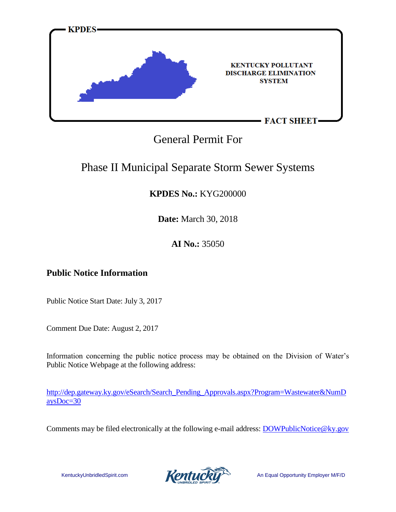

### General Permit For

### Phase II Municipal Separate Storm Sewer Systems

### **KPDES No.:** KYG200000

**Date:** March 30, 2018

### **AI No.:** 35050

### **Public Notice Information**

Public Notice Start Date: July 3, 2017

Comment Due Date: August 2, 2017

Information concerning the public notice process may be obtained on the Division of Water's Public Notice Webpage at the following address:

[http://dep.gateway.ky.gov/eSearch/Search\\_Pending\\_Approvals.aspx?Program=Wastewater&NumD](http://dep.gateway.ky.gov/eSearch/Search_Pending_Approvals.aspx?Program=Wastewater&NumDaysDoc=30) [aysDoc=30](http://dep.gateway.ky.gov/eSearch/Search_Pending_Approvals.aspx?Program=Wastewater&NumDaysDoc=30)

Comments may be filed electronically at the following e-mail address: [DOWPublicNotice@ky.gov](mailto:DOWPublicNotice@ky.gov)

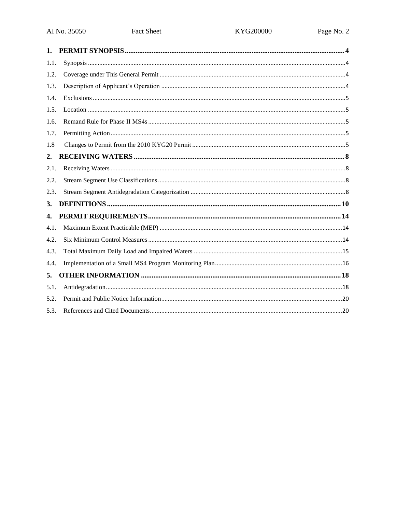| $\mathbf{1}$ . |  |
|----------------|--|
| 1.1.           |  |
| 1.2.           |  |
| 1.3.           |  |
| 1.4.           |  |
| 1.5.           |  |
| 1.6.           |  |
| 1.7.           |  |
| 1.8            |  |
| 2.             |  |
| 2.1.           |  |
| 2.2.           |  |
| 2.3.           |  |
| 3.             |  |
| 4.             |  |
| 4.1.           |  |
| 4.2.           |  |
| 4.3.           |  |
| 4.4.           |  |
| 5.             |  |
| 5.1.           |  |
| 5.2.           |  |
| 5.3.           |  |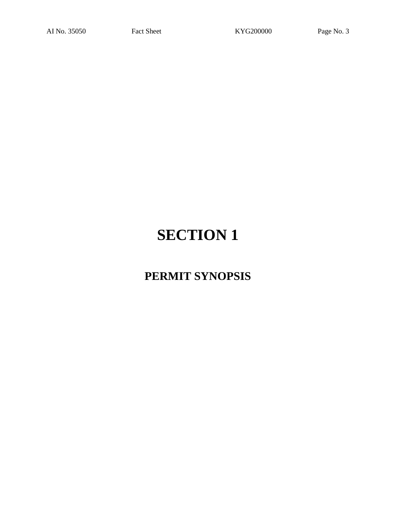## **PERMIT SYNOPSIS**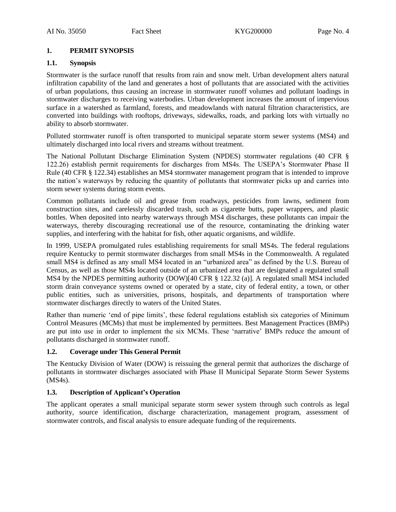#### <span id="page-3-0"></span>**1. PERMIT SYNOPSIS**

#### <span id="page-3-1"></span>**1.1. Synopsis**

Stormwater is the surface runoff that results from rain and snow melt. Urban development alters natural infiltration capability of the land and generates a host of pollutants that are associated with the activities of urban populations, thus causing an increase in stormwater runoff volumes and pollutant loadings in stormwater discharges to receiving waterbodies. Urban development increases the amount of impervious surface in a watershed as farmland, forests, and meadowlands with natural filtration characteristics, are converted into buildings with rooftops, driveways, sidewalks, roads, and parking lots with virtually no ability to absorb stormwater.

Polluted stormwater runoff is often transported to municipal separate storm sewer systems (MS4) and ultimately discharged into local rivers and streams without treatment.

The National Pollutant Discharge Elimination System (NPDES) stormwater regulations (40 CFR § 122.26) establish permit requirements for discharges from MS4s. The USEPA's Stormwater Phase II Rule (40 CFR § 122.34) establishes an MS4 stormwater management program that is intended to improve the nation's waterways by reducing the quantity of pollutants that stormwater picks up and carries into storm sewer systems during storm events.

Common pollutants include oil and grease from roadways, pesticides from lawns, sediment from construction sites, and carelessly discarded trash, such as cigarette butts, paper wrappers, and plastic bottles. When deposited into nearby waterways through MS4 discharges, these pollutants can impair the waterways, thereby discouraging recreational use of the resource, contaminating the drinking water supplies, and interfering with the habitat for fish, other aquatic organisms, and wildlife.

In 1999, USEPA promulgated rules establishing requirements for small MS4s. The federal regulations require Kentucky to permit stormwater discharges from small MS4s in the Commonwealth. A regulated small MS4 is defined as any small MS4 located in an "urbanized area" as defined by the U.S. Bureau of Census, as well as those MS4s located outside of an urbanized area that are designated a regulated small MS4 by the NPDES permitting authority (DOW)[40 CFR § 122.32 (a)]. A regulated small MS4 included storm drain conveyance systems owned or operated by a state, city of federal entity, a town, or other public entities, such as universities, prisons, hospitals, and departments of transportation where stormwater discharges directly to waters of the United States.

Rather than numeric 'end of pipe limits', these federal regulations establish six categories of Minimum Control Measures (MCMs) that must be implemented by permittees. Best Management Practices (BMPs) are put into use in order to implement the six MCMs. These 'narrative' BMPs reduce the amount of pollutants discharged in stormwater runoff.

#### <span id="page-3-2"></span>**1.2. Coverage under This General Permit**

The Kentucky Division of Water (DOW) is reissuing the general permit that authorizes the discharge of pollutants in stormwater discharges associated with Phase II Municipal Separate Storm Sewer Systems (MS4s).

#### <span id="page-3-3"></span>**1.3. Description of Applicant's Operation**

The applicant operates a small municipal separate storm sewer system through such controls as legal authority, source identification, discharge characterization, management program, assessment of stormwater controls, and fiscal analysis to ensure adequate funding of the requirements.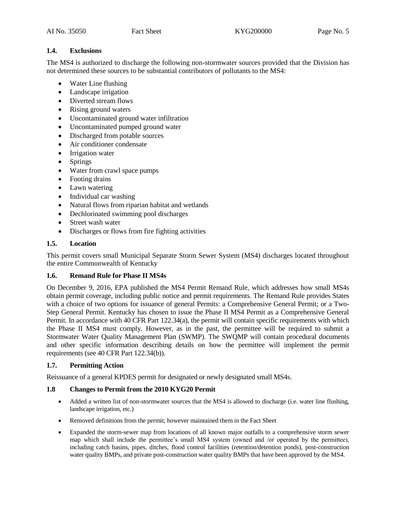#### <span id="page-4-0"></span>**1.4. Exclusions**

The MS4 is authorized to discharge the following non-stormwater sources provided that the Division has not determined these sources to be substantial contributors of pollutants to the MS4:

- Water Line flushing
- Landscape irrigation
- Diverted stream flows
- Rising ground waters
- Uncontaminated ground water infiltration
- Uncontaminated pumped ground water
- Discharged from potable sources
- Air conditioner condensate
- Irrigation water
- Springs
- Water from crawl space pumps
- Footing drains
- Lawn watering
- Individual car washing
- Natural flows from riparian habitat and wetlands
- Dechlorinated swimming pool discharges
- Street wash water
- Discharges or flows from fire fighting activities

#### <span id="page-4-1"></span>**1.5. Location**

This permit covers small Municipal Separate Storm Sewer System (MS4) discharges located throughout the entire Commonwealth of Kentucky

#### <span id="page-4-2"></span>**1.6. Remand Rule for Phase II MS4s**

On December 9, 2016, EPA published the MS4 Permit Remand Rule, which addresses how small MS4s obtain permit coverage, including public notice and permit requirements. The Remand Rule provides States with a choice of two options for issuance of general Permits: a Comprehensive General Permit; or a Two-Step General Permit. Kentucky has chosen to issue the Phase II MS4 Permit as a Comprehensive General Permit. In accordance with 40 CFR Part 122.34(a), the permit will contain specific requirements with which the Phase II MS4 must comply. However, as in the past, the permittee will be required to submit a Stormwater Water Quality Management Plan (SWMP). The SWQMP will contain procedural documents and other specific information describing details on how the permittee will implement the permit requirements (see 40 CFR Part 122.34(b)).

#### <span id="page-4-3"></span>**1.7. Permitting Action**

Reissuance of a general KPDES permit for designated or newly designated small MS4s.

#### <span id="page-4-4"></span>**1.8 Changes to Permit from the 2010 KYG20 Permit**

- Added a written list of non-stormwater sources that the MS4 is allowed to discharge (i.e. water line flushing, landscape irrigation, etc.)
- Removed definitions from the permit; however maintained them in the Fact Sheet
- Expanded the storm-sewer map from locations of all known major outfalls to a comprehensive storm sewer map which shall include the permittee's small MS4 system (owned and /or operated by the permittee), including catch basins, pipes, ditches, flood control facilities (retention/detention ponds), post-construction water quality BMPs, and private post-construction water quality BMPs that have been approved by the MS4.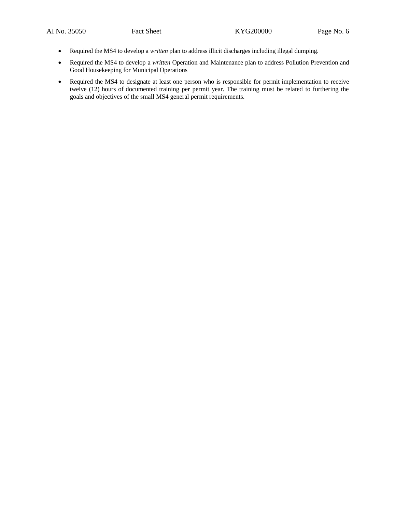- Required the MS4 to develop a *written* plan to address illicit discharges including illegal dumping.
- Required the MS4 to develop a *written* Operation and Maintenance plan to address Pollution Prevention and Good Housekeeping for Municipal Operations
- Required the MS4 to designate at least one person who is responsible for permit implementation to receive twelve (12) hours of documented training per permit year. The training must be related to furthering the goals and objectives of the small MS4 general permit requirements.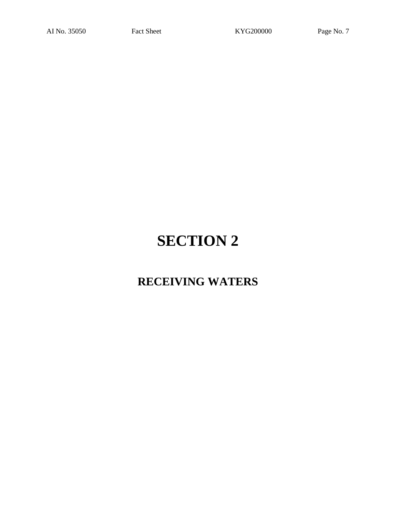### **RECEIVING WATERS**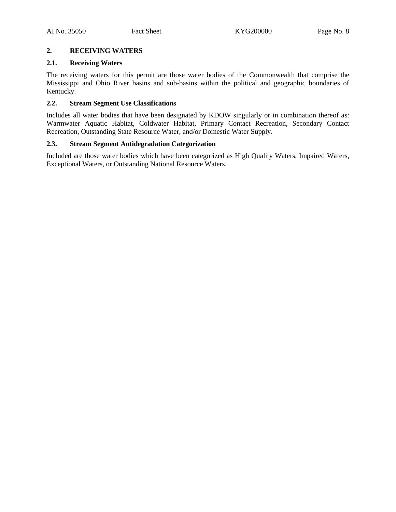#### <span id="page-7-0"></span>**2. RECEIVING WATERS**

#### <span id="page-7-1"></span>**2.1. Receiving Waters**

The receiving waters for this permit are those water bodies of the Commonwealth that comprise the Mississippi and Ohio River basins and sub-basins within the political and geographic boundaries of Kentucky.

#### <span id="page-7-2"></span>**2.2. Stream Segment Use Classifications**

Includes all water bodies that have been designated by KDOW singularly or in combination thereof as: Warmwater Aquatic Habitat, Coldwater Habitat, Primary Contact Recreation, Secondary Contact Recreation, Outstanding State Resource Water, and/or Domestic Water Supply.

#### <span id="page-7-3"></span>**2.3. Stream Segment Antidegradation Categorization**

Included are those water bodies which have been categorized as High Quality Waters, Impaired Waters, Exceptional Waters, or Outstanding National Resource Waters.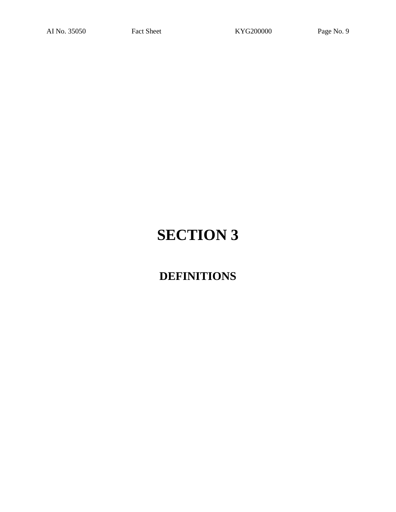## **DEFINITIONS**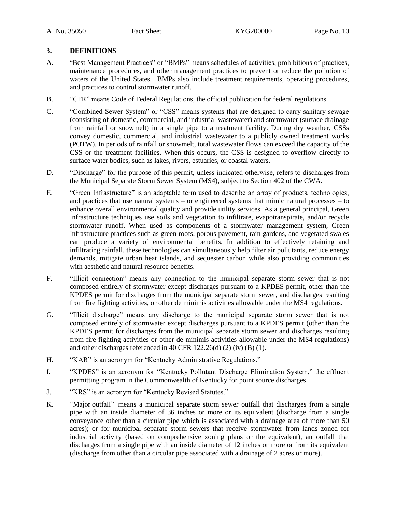#### <span id="page-9-0"></span>**3. DEFINITIONS**

- A. "Best Management Practices" or "BMPs" means schedules of activities, prohibitions of practices, maintenance procedures, and other management practices to prevent or reduce the pollution of waters of the United States. BMPs also include treatment requirements, operating procedures, and practices to control stormwater runoff.
- B. "CFR" means Code of Federal Regulations, the official publication for federal regulations.
- C. "Combined Sewer System" or "CSS" means systems that are designed to carry sanitary sewage (consisting of domestic, commercial, and industrial wastewater) and stormwater (surface drainage from rainfall or snowmelt) in a single pipe to a treatment facility. During dry weather, CSSs convey domestic, commercial, and industrial wastewater to a publicly owned treatment works (POTW). In periods of rainfall or snowmelt, total wastewater flows can exceed the capacity of the CSS or the treatment facilities. When this occurs, the CSS is designed to overflow directly to surface water bodies, such as lakes, rivers, estuaries, or coastal waters.
- D. "Discharge" for the purpose of this permit, unless indicated otherwise, refers to discharges from the Municipal Separate Storm Sewer System (MS4), subject to Section 402 of the CWA.
- E. "Green Infrastructure" is an adaptable term used to describe an array of products, technologies, and practices that use natural systems – or engineered systems that mimic natural processes – to enhance overall environmental quality and provide utility services. As a general principal, Green Infrastructure techniques use soils and vegetation to infiltrate, evapotranspirate, and/or recycle stormwater runoff. When used as components of a stormwater management system, Green Infrastructure practices such as green roofs, porous pavement, rain gardens, and vegetated swales can produce a variety of environmental benefits. In addition to effectively retaining and infiltrating rainfall, these technologies can simultaneously help filter air pollutants, reduce energy demands, mitigate urban heat islands, and sequester carbon while also providing communities with aesthetic and natural resource benefits.
- F. "Illicit connection" means any connection to the municipal separate storm sewer that is not composed entirely of stormwater except discharges pursuant to a KPDES permit, other than the KPDES permit for discharges from the municipal separate storm sewer, and discharges resulting from fire fighting activities, or other de minimis activities allowable under the MS4 regulations.
- G. "Illicit discharge" means any discharge to the municipal separate storm sewer that is not composed entirely of stormwater except discharges pursuant to a KPDES permit (other than the KPDES permit for discharges from the municipal separate storm sewer and discharges resulting from fire fighting activities or other de minimis activities allowable under the MS4 regulations) and other discharges referenced in 40 CFR 122.26(d) (2) (iv) (B) (1).
- H. "KAR" is an acronym for "Kentucky Administrative Regulations."
- I. "KPDES" is an acronym for "Kentucky Pollutant Discharge Elimination System," the effluent permitting program in the Commonwealth of Kentucky for point source discharges.
- J. "KRS" is an acronym for "Kentucky Revised Statutes."
- K. "Major outfall" means a municipal separate storm sewer outfall that discharges from a single pipe with an inside diameter of 36 inches or more or its equivalent (discharge from a single conveyance other than a circular pipe which is associated with a drainage area of more than 50 acres); or for municipal separate storm sewers that receive stormwater from lands zoned for industrial activity (based on comprehensive zoning plans or the equivalent), an outfall that discharges from a single pipe with an inside diameter of 12 inches or more or from its equivalent (discharge from other than a circular pipe associated with a drainage of 2 acres or more).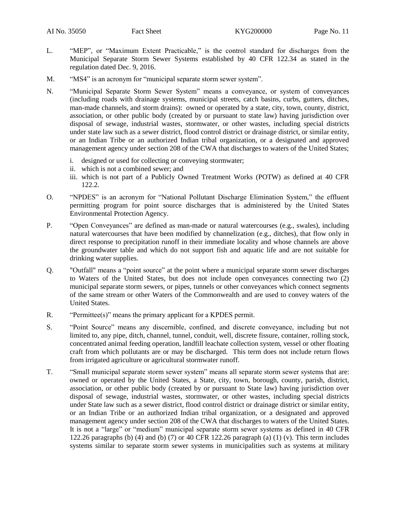- L. "MEP", or "Maximum Extent Practicable," is the control standard for discharges from the Municipal Separate Storm Sewer Systems established by 40 CFR 122.34 as stated in the regulation dated Dec. 9, 2016.
- M. "MS4" is an acronym for "municipal separate storm sewer system".
- N. "Municipal Separate Storm Sewer System" means a conveyance, or system of conveyances (including roads with drainage systems, municipal streets, catch basins, curbs, gutters, ditches, man-made channels, and storm drains): owned or operated by a state, city, town, county, district, association, or other public body (created by or pursuant to state law) having jurisdiction over disposal of sewage, industrial wastes, stormwater, or other wastes, including special districts under state law such as a sewer district, flood control district or drainage district, or similar entity, or an Indian Tribe or an authorized Indian tribal organization, or a designated and approved management agency under section 208 of the CWA that discharges to waters of the United States;
	- i. designed or used for collecting or conveying stormwater;
	- ii. which is not a combined sewer; and
	- iii. which is not part of a Publicly Owned Treatment Works (POTW) as defined at 40 CFR 122.2.
- O. "NPDES" is an acronym for "National Pollutant Discharge Elimination System," the effluent permitting program for point source discharges that is administered by the United States Environmental Protection Agency.
- P. "Open Conveyances" are defined as man-made or natural watercourses (e.g., swales), including natural watercourses that have been modified by channelization (e.g., ditches), that flow only in direct response to precipitation runoff in their immediate locality and whose channels are above the groundwater table and which do not support fish and aquatic life and are not suitable for drinking water supplies.
- Q. "Outfall" means a "point source" at the point where a municipal separate storm sewer discharges to Waters of the United States, but does not include open conveyances connecting two (2) municipal separate storm sewers, or pipes, tunnels or other conveyances which connect segments of the same stream or other Waters of the Commonwealth and are used to convey waters of the United States.
- R. "Permittee(s)" means the primary applicant for a KPDES permit.
- S. "Point Source" means any discernible, confined, and discrete conveyance, including but not limited to, any pipe, ditch, channel, tunnel, conduit, well, discrete fissure, container, rolling stock, concentrated animal feeding operation, landfill leachate collection system, vessel or other floating craft from which pollutants are or may be discharged. This term does not include return flows from irrigated agriculture or agricultural stormwater runoff.
- T. "Small municipal separate storm sewer system" means all separate storm sewer systems that are: owned or operated by the United States, a State, city, town, borough, county, parish, district, association, or other public body (created by or pursuant to State law) having jurisdiction over disposal of sewage, industrial wastes, stormwater, or other wastes, including special districts under State law such as a sewer district, flood control district or drainage district or similar entity, or an Indian Tribe or an authorized Indian tribal organization, or a designated and approved management agency under section 208 of the CWA that discharges to waters of the United States. It is not a "large" or "medium" municipal separate storm sewer systems as defined in 40 CFR 122.26 paragraphs (b) (4) and (b) (7) or 40 CFR 122.26 paragraph (a) (1) (v). This term includes systems similar to separate storm sewer systems in municipalities such as systems at military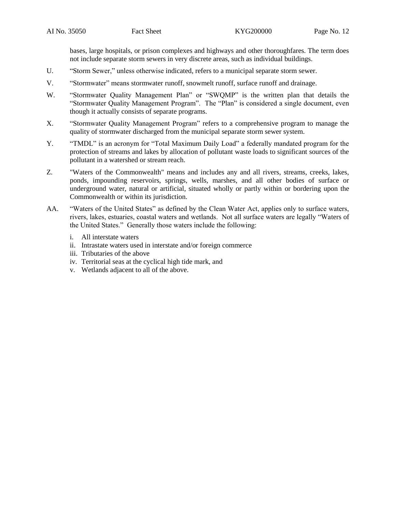bases, large hospitals, or prison complexes and highways and other thoroughfares. The term does not include separate storm sewers in very discrete areas, such as individual buildings.

- U. "Storm Sewer," unless otherwise indicated, refers to a municipal separate storm sewer.
- V. "Stormwater" means stormwater runoff, snowmelt runoff, surface runoff and drainage.
- W. "Stormwater Quality Management Plan" or "SWQMP" is the written plan that details the "Stormwater Quality Management Program". The "Plan" is considered a single document, even though it actually consists of separate programs.
- X. "Stormwater Quality Management Program" refers to a comprehensive program to manage the quality of stormwater discharged from the municipal separate storm sewer system.
- Y. "TMDL" is an acronym for "Total Maximum Daily Load" a federally mandated program for the protection of streams and lakes by allocation of pollutant waste loads to significant sources of the pollutant in a watershed or stream reach.
- Z. "Waters of the Commonwealth" means and includes any and all rivers, streams, creeks, lakes, ponds, impounding reservoirs, springs, wells, marshes, and all other bodies of surface or underground water, natural or artificial, situated wholly or partly within or bordering upon the Commonwealth or within its jurisdiction.
- AA. "Waters of the United States" as defined by the Clean Water Act, applies only to surface waters, rivers, lakes, estuaries, coastal waters and wetlands. Not all surface waters are legally "Waters of the United States." Generally those waters include the following:
	- i. All interstate waters
	- ii. Intrastate waters used in interstate and/or foreign commerce
	- iii. Tributaries of the above
	- iv. Territorial seas at the cyclical high tide mark, and
	- v. Wetlands adjacent to all of the above.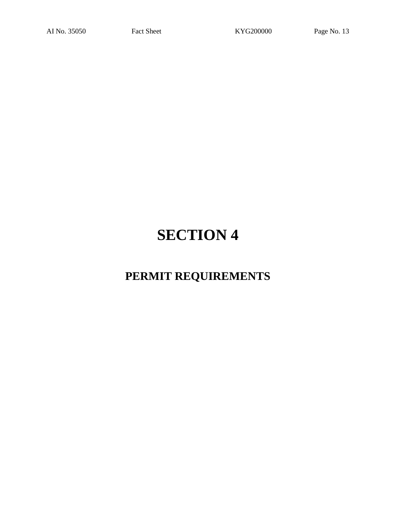## **PERMIT REQUIREMENTS**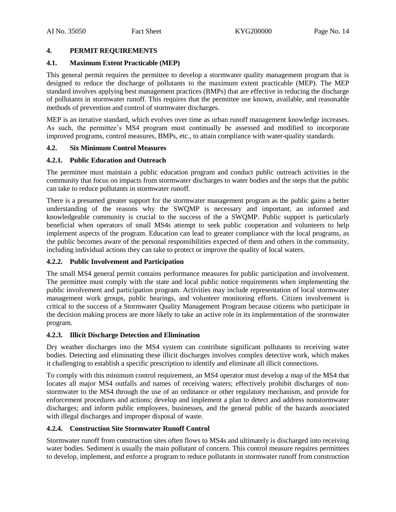#### <span id="page-13-0"></span>**4. PERMIT REQUIREMENTS**

#### <span id="page-13-1"></span>**4.1. Maximum Extent Practicable (MEP)**

This general permit requires the permittee to develop a stormwater quality management program that is designed to reduce the discharge of pollutants to the maximum extent practicable (MEP). The MEP standard involves applying best management practices (BMPs) that are effective in reducing the discharge of pollutants in stormwater runoff. This requires that the permittee use known, available, and reasonable methods of prevention and control of stormwater discharges.

MEP is an iterative standard, which evolves over time as urban runoff management knowledge increases. As such, the permittee's MS4 program must continually be assessed and modified to incorporate improved programs, control measures, BMPs, etc., to attain compliance with water-quality standards.

#### <span id="page-13-2"></span>**4.2. Six Minimum Control Measures**

#### **4.2.1. Public Education and Outreach**

The permittee must maintain a public education program and conduct public outreach activities in the community that focus on impacts from stormwater discharges to water bodies and the steps that the public can take to reduce pollutants in stormwater runoff.

There is a presumed greater support for the stormwater management program as the public gains a better understanding of the reasons why the SWQMP is necessary and important, an informed and knowledgeable community is crucial to the success of the a SWQMP. Public support is particularly beneficial when operators of small MS4s attempt to seek public cooperation and volunteers to help implement aspects of the program. Education can lead to greater compliance with the local programs, as the public becomes aware of the personal responsibilities expected of them and others in the community, including individual actions they can take to protect or improve the quality of local waters.

#### **4.2.2. Public Involvement and Participation**

The small MS4 general permit contains performance measures for public participation and involvement. The permittee must comply with the state and local public notice requirements when implementing the public involvement and participation program. Activities may include representation of local stormwater management work groups, public hearings, and volunteer monitoring efforts. Citizen involvement is critical to the success of a Stormwater Quality Management Program because citizens who participate in the decision making process are more likely to take an active role in its implementation of the stormwater program.

#### **4.2.3. Illicit Discharge Detection and Elimination**

Dry weather discharges into the MS4 system can contribute significant pollutants to receiving water bodies. Detecting and eliminating these illicit discharges involves complex detective work, which makes it challenging to establish a specific prescription to identify and eliminate all illicit connections.

To comply with this minimum control requirement, an MS4 operator must develop a map of the MS4 that locates all major MS4 outfalls and names of receiving waters; effectively prohibit discharges of nonstormwater to the MS4 through the use of an ordinance or other regulatory mechanism, and provide for enforcement procedures and actions; develop and implement a plan to detect and address nonstormwater discharges; and inform public employees, businesses, and the general public of the hazards associated with illegal discharges and improper disposal of waste.

#### **4.2.4. Construction Site Stormwater Runoff Control**

Stormwater runoff from construction sites often flows to MS4s and ultimately is discharged into receiving water bodies. Sediment is usually the main pollutant of concern. This control measure requires permittees to develop, implement, and enforce a program to reduce pollutants in stormwater runoff from construction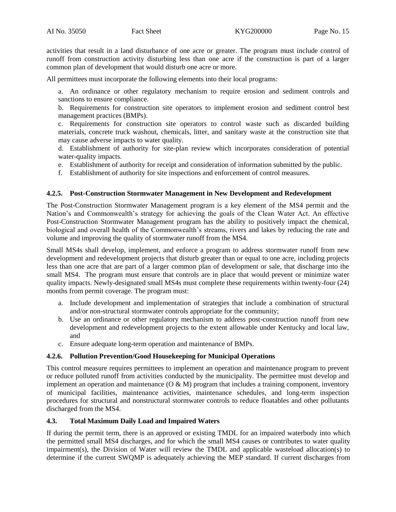activities that result in a land disturbance of one acre or greater. The program must include control of runoff from construction activity disturbing less than one acre if the construction is part of a larger common plan of development that would disturb one acre or more.

All permittees must incorporate the following elements into their local programs:

a. An ordinance or other regulatory mechanism to require erosion and sediment controls and sanctions to ensure compliance.

b. Requirements for construction site operators to implement erosion and sediment control best management practices (BMPs).

c. Requirements for construction site operators to control waste such as discarded building materials, concrete truck washout, chemicals, litter, and sanitary waste at the construction site that may cause adverse impacts to water quality.

d. Establishment of authority for site-plan review which incorporates consideration of potential water-quality impacts.

- e. Establishment of authority for receipt and consideration of information submitted by the public.
- f. Establishment of authority for site inspections and enforcement of control measures.

#### **4.2.5. Post-Construction Stormwater Management in New Development and Redevelopment**

The Post-Construction Stormwater Management program is a key element of the MS4 permit and the Nation's and Commonwealth's strategy for achieving the goals of the Clean Water Act. An effective Post-Construction Stormwater Management program has the ability to positively impact the chemical, biological and overall health of the Commonwealth's streams, rivers and lakes by reducing the rate and volume and improving the quality of stormwater runoff from the MS4.

Small MS4s shall develop, implement, and enforce a program to address stormwater runoff from new development and redevelopment projects that disturb greater than or equal to one acre, including projects less than one acre that are part of a larger common plan of development or sale, that discharge into the small MS4. The program must ensure that controls are in place that would prevent or minimize water quality impacts. Newly-designated small MS4s must complete these requirements within twenty-four (24) months from permit coverage. The program must:

- a. Include development and implementation of strategies that include a combination of structural and/or non-structural stormwater controls appropriate for the community;
- b. Use an ordinance or other regulatory mechanism to address post-construction runoff from new development and redevelopment projects to the extent allowable under Kentucky and local law, and
- c. Ensure adequate long-term operation and maintenance of BMPs.

#### **4.2.6. Pollution Prevention/Good Housekeeping for Municipal Operations**

This control measure requires permittees to implement an operation and maintenance program to prevent or reduce polluted runoff from activities conducted by the municipality. The permittee must develop and implement an operation and maintenance  $(O & M)$  program that includes a training component, inventory of municipal facilities, maintenance activities, maintenance schedules, and long-term inspection procedures for structural and nonstructural stormwater controls to reduce floatables and other pollutants discharged from the MS4.

#### <span id="page-14-0"></span>**4.3. Total Maximum Daily Load and Impaired Waters**

If during the permit term, there is an approved or existing TMDL for an impaired waterbody into which the permitted small MS4 discharges, and for which the small MS4 causes or contributes to water quality impairment(s), the Division of Water will review the TMDL and applicable wasteload allocation(s) to determine if the current SWQMP is adequately achieving the MEP standard. If current discharges from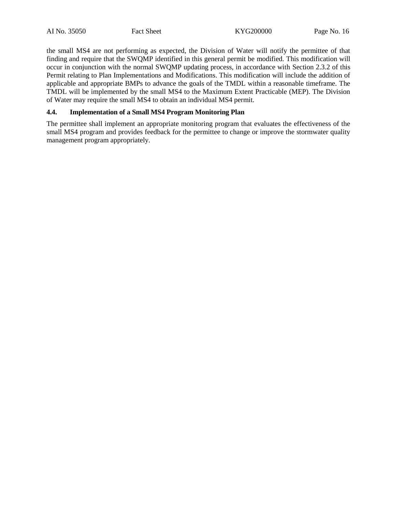the small MS4 are not performing as expected, the Division of Water will notify the permittee of that finding and require that the SWQMP identified in this general permit be modified. This modification will occur in conjunction with the normal SWQMP updating process, in accordance with Section 2.3.2 of this Permit relating to Plan Implementations and Modifications. This modification will include the addition of applicable and appropriate BMPs to advance the goals of the TMDL within a reasonable timeframe. The TMDL will be implemented by the small MS4 to the Maximum Extent Practicable (MEP). The Division of Water may require the small MS4 to obtain an individual MS4 permit.

#### <span id="page-15-0"></span>**4.4. Implementation of a Small MS4 Program Monitoring Plan**

The permittee shall implement an appropriate monitoring program that evaluates the effectiveness of the small MS4 program and provides feedback for the permittee to change or improve the stormwater quality management program appropriately.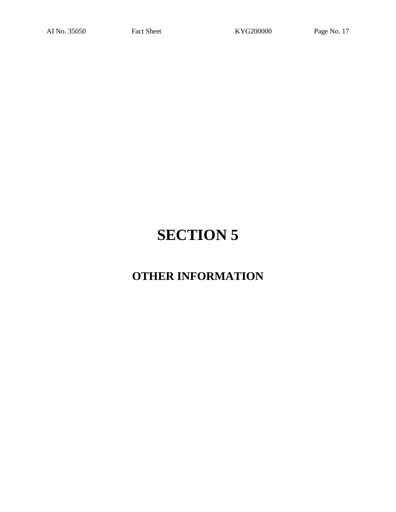## **OTHER INFORMATION**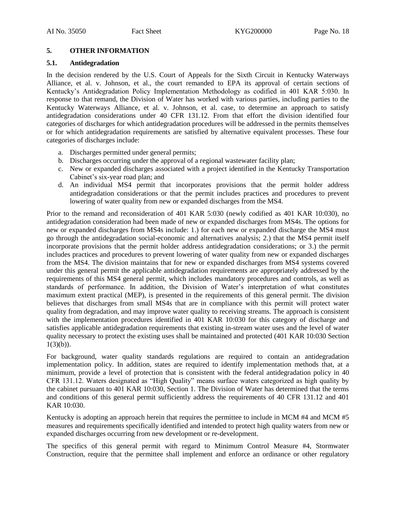#### <span id="page-17-0"></span>**5. OTHER INFORMATION**

#### <span id="page-17-1"></span>**5.1. Antidegradation**

In the decision rendered by the U.S. Court of Appeals for the Sixth Circuit in Kentucky Waterways Alliance, et al. v. Johnson, et al., the court remanded to EPA its approval of certain sections of Kentucky's Antidegradation Policy Implementation Methodology as codified in 401 KAR 5:030. In response to that remand, the Division of Water has worked with various parties, including parties to the Kentucky Waterways Alliance, et al. v. Johnson, et al. case, to determine an approach to satisfy antidegradation considerations under 40 CFR 131.12. From that effort the division identified four categories of discharges for which antidegradation procedures will be addressed in the permits themselves or for which antidegradation requirements are satisfied by alternative equivalent processes. These four categories of discharges include:

- a. Discharges permitted under general permits;
- b. Discharges occurring under the approval of a regional wastewater facility plan;
- c. New or expanded discharges associated with a project identified in the Kentucky Transportation Cabinet's six-year road plan; and
- d. An individual MS4 permit that incorporates provisions that the permit holder address antidegradation considerations or that the permit includes practices and procedures to prevent lowering of water quality from new or expanded discharges from the MS4.

Prior to the remand and reconsideration of 401 KAR 5:030 (newly codified as 401 KAR 10:030), no antidegradation consideration had been made of new or expanded discharges from MS4s. The options for new or expanded discharges from MS4s include: 1.) for each new or expanded discharge the MS4 must go through the antidegradation social-economic and alternatives analysis; 2.) that the MS4 permit itself incorporate provisions that the permit holder address antidegradation considerations; or 3.) the permit includes practices and procedures to prevent lowering of water quality from new or expanded discharges from the MS4. The division maintains that for new or expanded discharges from MS4 systems covered under this general permit the applicable antidegradation requirements are appropriately addressed by the requirements of this MS4 general permit, which includes mandatory procedures and controls, as well as standards of performance. In addition, the Division of Water's interpretation of what constitutes maximum extent practical (MEP), is presented in the requirements of this general permit. The division believes that discharges from small MS4s that are in compliance with this permit will protect water quality from degradation, and may improve water quality to receiving streams. The approach is consistent with the implementation procedures identified in 401 KAR 10:030 for this category of discharge and satisfies applicable antidegradation requirements that existing in-stream water uses and the level of water quality necessary to protect the existing uses shall be maintained and protected (401 KAR 10:030 Section  $1(3)(b)$ ).

For background, water quality standards regulations are required to contain an antidegradation implementation policy. In addition, states are required to identify implementation methods that, at a minimum, provide a level of protection that is consistent with the federal antidegradation policy in 40 CFR 131.12. Waters designated as "High Quality" means surface waters categorized as high quality by the cabinet pursuant to 401 KAR 10:030, Section 1. The Division of Water has determined that the terms and conditions of this general permit sufficiently address the requirements of 40 CFR 131.12 and 401 KAR 10:030.

Kentucky is adopting an approach herein that requires the permittee to include in MCM #4 and MCM #5 measures and requirements specifically identified and intended to protect high quality waters from new or expanded discharges occurring from new development or re-development.

The specifics of this general permit with regard to Minimum Control Measure #4, Stormwater Construction, require that the permittee shall implement and enforce an ordinance or other regulatory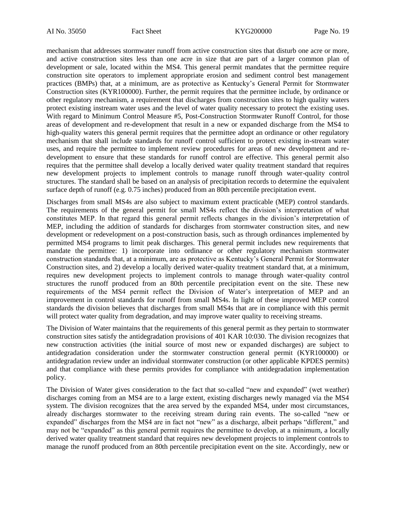mechanism that addresses stormwater runoff from active construction sites that disturb one acre or more, and active construction sites less than one acre in size that are part of a larger common plan of development or sale, located within the MS4. This general permit mandates that the permittee require construction site operators to implement appropriate erosion and sediment control best management practices (BMPs) that, at a minimum, are as protective as Kentucky's General Permit for Stormwater Construction sites (KYR100000). Further, the permit requires that the permittee include, by ordinance or other regulatory mechanism, a requirement that discharges from construction sites to high quality waters protect existing instream water uses and the level of water quality necessary to protect the existing uses. With regard to Minimum Control Measure #5, Post-Construction Stormwater Runoff Control, for those areas of development and re-development that result in a new or expanded discharge from the MS4 to high-quality waters this general permit requires that the permittee adopt an ordinance or other regulatory mechanism that shall include standards for runoff control sufficient to protect existing in-stream water uses, and require the permittee to implement review procedures for areas of new development and redevelopment to ensure that these standards for runoff control are effective. This general permit also requires that the permittee shall develop a locally derived water quality treatment standard that requires new development projects to implement controls to manage runoff through water-quality control structures. The standard shall be based on an analysis of precipitation records to determine the equivalent surface depth of runoff (e.g. 0.75 inches) produced from an 80th percentile precipitation event.

Discharges from small MS4s are also subject to maximum extent practicable (MEP) control standards. The requirements of the general permit for small MS4s reflect the division's interpretation of what constitutes MEP. In that regard this general permit reflects changes in the division's interpretation of MEP, including the addition of standards for discharges from stormwater construction sites, and new development or redevelopment on a post-construction basis, such as through ordinances implemented by permitted MS4 programs to limit peak discharges. This general permit includes new requirements that mandate the permittee: 1) incorporate into ordinance or other regulatory mechanism stormwater construction standards that, at a minimum, are as protective as Kentucky's General Permit for Stormwater Construction sites, and 2) develop a locally derived water-quality treatment standard that, at a minimum, requires new development projects to implement controls to manage through water-quality control structures the runoff produced from an 80th percentile precipitation event on the site. These new requirements of the MS4 permit reflect the Division of Water's interpretation of MEP and an improvement in control standards for runoff from small MS4s. In light of these improved MEP control standards the division believes that discharges from small MS4s that are in compliance with this permit will protect water quality from degradation, and may improve water quality to receiving streams.

The Division of Water maintains that the requirements of this general permit as they pertain to stormwater construction sites satisfy the antidegradation provisions of 401 KAR 10:030. The division recognizes that new construction activities (the initial source of most new or expanded discharges) are subject to antidegradation consideration under the stormwater construction general permit (KYR100000) or antidegradation review under an individual stormwater construction (or other applicable KPDES permits) and that compliance with these permits provides for compliance with antidegradation implementation policy.

The Division of Water gives consideration to the fact that so-called "new and expanded" (wet weather) discharges coming from an MS4 are to a large extent, existing discharges newly managed via the MS4 system. The division recognizes that the area served by the expanded MS4, under most circumstances, already discharges stormwater to the receiving stream during rain events. The so-called "new or expanded" discharges from the MS4 are in fact not "new" as a discharge, albeit perhaps "different," and may not be "expanded" as this general permit requires the permittee to develop, at a minimum, a locally derived water quality treatment standard that requires new development projects to implement controls to manage the runoff produced from an 80th percentile precipitation event on the site. Accordingly, new or